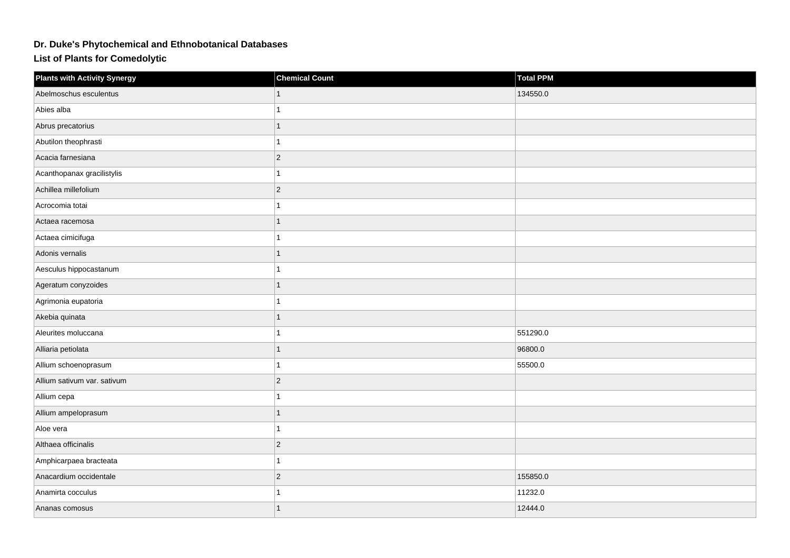## **Dr. Duke's Phytochemical and Ethnobotanical Databases**

**List of Plants for Comedolytic**

| <b>Plants with Activity Synergy</b> | <b>Chemical Count</b> | <b>Total PPM</b> |
|-------------------------------------|-----------------------|------------------|
| Abelmoschus esculentus              |                       | 134550.0         |
| Abies alba                          | 1                     |                  |
| Abrus precatorius                   | 1                     |                  |
| Abutilon theophrasti                | 1                     |                  |
| Acacia farnesiana                   | $ 2\rangle$           |                  |
| Acanthopanax gracilistylis          | 1                     |                  |
| Achillea millefolium                | $ 2\rangle$           |                  |
| Acrocomia totai                     | 1                     |                  |
| Actaea racemosa                     | 1                     |                  |
| Actaea cimicifuga                   | $\mathbf{1}$          |                  |
| Adonis vernalis                     | $\mathbf{1}$          |                  |
| Aesculus hippocastanum              | 1                     |                  |
| Ageratum conyzoides                 | 1                     |                  |
| Agrimonia eupatoria                 | 1                     |                  |
| Akebia quinata                      | 1                     |                  |
| Aleurites moluccana                 | $\mathbf{1}$          | 551290.0         |
| Alliaria petiolata                  | $\mathbf{1}$          | 96800.0          |
| Allium schoenoprasum                | 1                     | 55500.0          |
| Allium sativum var. sativum         | $\overline{2}$        |                  |
| Allium cepa                         | 1                     |                  |
| Allium ampeloprasum                 | 1                     |                  |
| Aloe vera                           | 1                     |                  |
| Althaea officinalis                 | $ 2\rangle$           |                  |
| Amphicarpaea bracteata              | 1                     |                  |
| Anacardium occidentale              | $ 2\rangle$           | 155850.0         |
| Anamirta cocculus                   | 1                     | 11232.0          |
| Ananas comosus                      | 1                     | 12444.0          |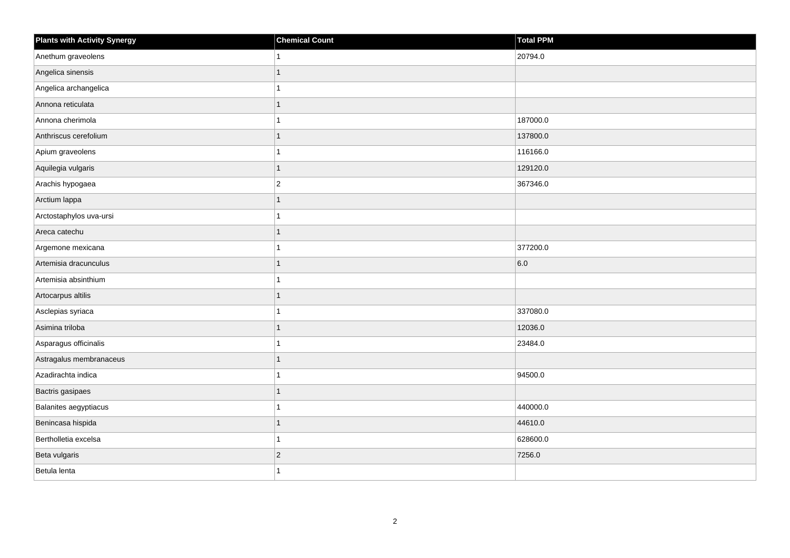| <b>Plants with Activity Synergy</b> | <b>Chemical Count</b> | Total PPM |
|-------------------------------------|-----------------------|-----------|
| Anethum graveolens                  |                       | 20794.0   |
| Angelica sinensis                   |                       |           |
| Angelica archangelica               |                       |           |
| Annona reticulata                   |                       |           |
| Annona cherimola                    |                       | 187000.0  |
| Anthriscus cerefolium               |                       | 137800.0  |
| Apium graveolens                    |                       | 116166.0  |
| Aquilegia vulgaris                  | 1                     | 129120.0  |
| Arachis hypogaea                    | $\overline{2}$        | 367346.0  |
| Arctium lappa                       | 1                     |           |
| Arctostaphylos uva-ursi             |                       |           |
| Areca catechu                       |                       |           |
| Argemone mexicana                   |                       | 377200.0  |
| Artemisia dracunculus               |                       | 6.0       |
| Artemisia absinthium                |                       |           |
| Artocarpus altilis                  |                       |           |
| Asclepias syriaca                   |                       | 337080.0  |
| Asimina triloba                     |                       | 12036.0   |
| Asparagus officinalis               |                       | 23484.0   |
| Astragalus membranaceus             |                       |           |
| Azadirachta indica                  |                       | 94500.0   |
| Bactris gasipaes                    |                       |           |
| Balanites aegyptiacus               |                       | 440000.0  |
| Benincasa hispida                   |                       | 44610.0   |
| Bertholletia excelsa                |                       | 628600.0  |
| Beta vulgaris                       | $\overline{2}$        | 7256.0    |
| Betula lenta                        |                       |           |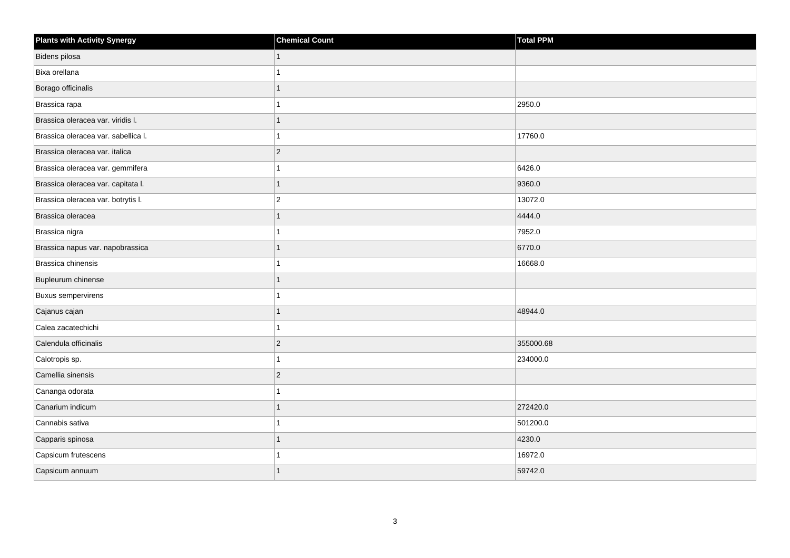| <b>Plants with Activity Synergy</b> | <b>Chemical Count</b> | <b>Total PPM</b> |
|-------------------------------------|-----------------------|------------------|
| Bidens pilosa                       | 1                     |                  |
| Bixa orellana                       |                       |                  |
| Borago officinalis                  |                       |                  |
| Brassica rapa                       |                       | 2950.0           |
| Brassica oleracea var. viridis I.   | 1                     |                  |
| Brassica oleracea var. sabellica I. |                       | 17760.0          |
| Brassica oleracea var. italica      | $ 2\rangle$           |                  |
| Brassica oleracea var. gemmifera    |                       | 6426.0           |
| Brassica oleracea var. capitata I.  | $\mathbf{1}$          | 9360.0           |
| Brassica oleracea var. botrytis I.  | $\vert$ 2             | 13072.0          |
| Brassica oleracea                   |                       | 4444.0           |
| Brassica nigra                      |                       | 7952.0           |
| Brassica napus var. napobrassica    | 1                     | 6770.0           |
| Brassica chinensis                  |                       | 16668.0          |
| Bupleurum chinense                  |                       |                  |
| <b>Buxus sempervirens</b>           |                       |                  |
| Cajanus cajan                       |                       | 48944.0          |
| Calea zacatechichi                  | 1                     |                  |
| Calendula officinalis               | $ 2\rangle$           | 355000.68        |
| Calotropis sp.                      |                       | 234000.0         |
| Camellia sinensis                   | $\overline{2}$        |                  |
| Cananga odorata                     |                       |                  |
| Canarium indicum                    |                       | 272420.0         |
| Cannabis sativa                     |                       | 501200.0         |
| Capparis spinosa                    | 1                     | 4230.0           |
| Capsicum frutescens                 |                       | 16972.0          |
| Capsicum annuum                     |                       | 59742.0          |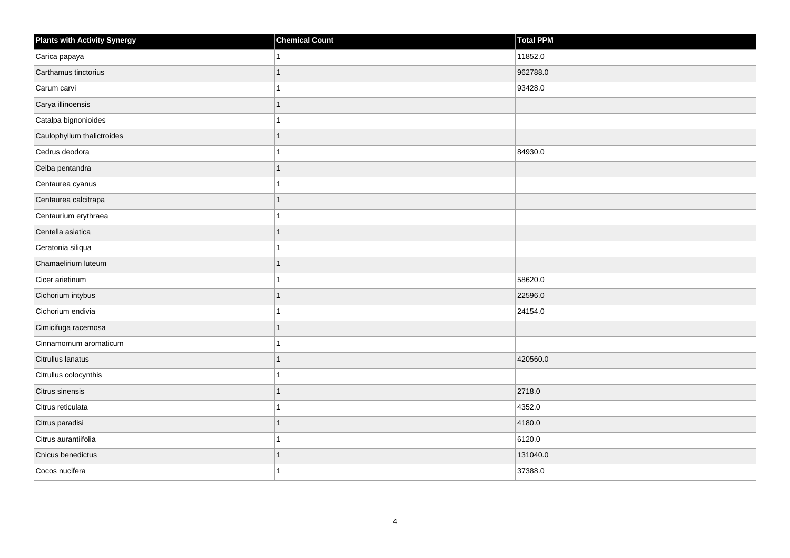| <b>Plants with Activity Synergy</b> | <b>Chemical Count</b> | Total PPM |
|-------------------------------------|-----------------------|-----------|
| Carica papaya                       |                       | 11852.0   |
| Carthamus tinctorius                |                       | 962788.0  |
| Carum carvi                         |                       | 93428.0   |
| Carya illinoensis                   |                       |           |
| Catalpa bignonioides                |                       |           |
| Caulophyllum thalictroides          |                       |           |
| Cedrus deodora                      |                       | 84930.0   |
| Ceiba pentandra                     | 1                     |           |
| Centaurea cyanus                    |                       |           |
| Centaurea calcitrapa                |                       |           |
| Centaurium erythraea                |                       |           |
| Centella asiatica                   |                       |           |
| Ceratonia siliqua                   |                       |           |
| Chamaelirium luteum                 | 1                     |           |
| Cicer arietinum                     |                       | 58620.0   |
| Cichorium intybus                   | 1                     | 22596.0   |
| Cichorium endivia                   |                       | 24154.0   |
| Cimicifuga racemosa                 |                       |           |
| Cinnamomum aromaticum               |                       |           |
| Citrullus lanatus                   |                       | 420560.0  |
| Citrullus colocynthis               |                       |           |
| Citrus sinensis                     | 1                     | 2718.0    |
| Citrus reticulata                   |                       | 4352.0    |
| Citrus paradisi                     |                       | 4180.0    |
| Citrus aurantiifolia                |                       | 6120.0    |
| Cnicus benedictus                   |                       | 131040.0  |
| Cocos nucifera                      |                       | 37388.0   |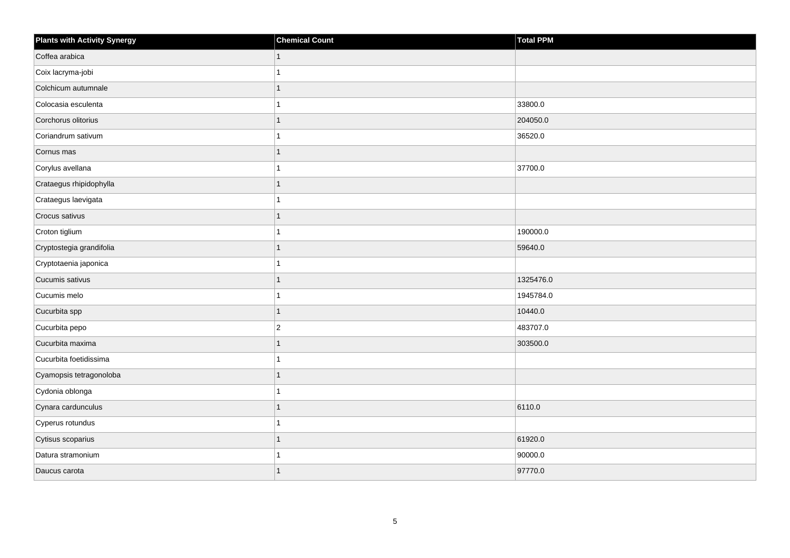| <b>Plants with Activity Synergy</b> | <b>Chemical Count</b> | Total PPM |
|-------------------------------------|-----------------------|-----------|
| Coffea arabica                      | 1                     |           |
| Coix lacryma-jobi                   |                       |           |
| Colchicum autumnale                 |                       |           |
| Colocasia esculenta                 |                       | 33800.0   |
| Corchorus olitorius                 | 1                     | 204050.0  |
| Coriandrum sativum                  |                       | 36520.0   |
| Cornus mas                          | 1                     |           |
| Corylus avellana                    |                       | 37700.0   |
| Crataegus rhipidophylla             |                       |           |
| Crataegus laevigata                 |                       |           |
| Crocus sativus                      | 1                     |           |
| Croton tiglium                      |                       | 190000.0  |
| Cryptostegia grandifolia            | 1                     | 59640.0   |
| Cryptotaenia japonica               |                       |           |
| Cucumis sativus                     |                       | 1325476.0 |
| Cucumis melo                        |                       | 1945784.0 |
| Cucurbita spp                       | 1                     | 10440.0   |
| Cucurbita pepo                      | $\overline{2}$        | 483707.0  |
| Cucurbita maxima                    | 1                     | 303500.0  |
| Cucurbita foetidissima              |                       |           |
| Cyamopsis tetragonoloba             |                       |           |
| Cydonia oblonga                     | 1                     |           |
| Cynara cardunculus                  |                       | 6110.0    |
| Cyperus rotundus                    |                       |           |
| Cytisus scoparius                   | 1                     | 61920.0   |
| Datura stramonium                   |                       | 90000.0   |
| Daucus carota                       | 1                     | 97770.0   |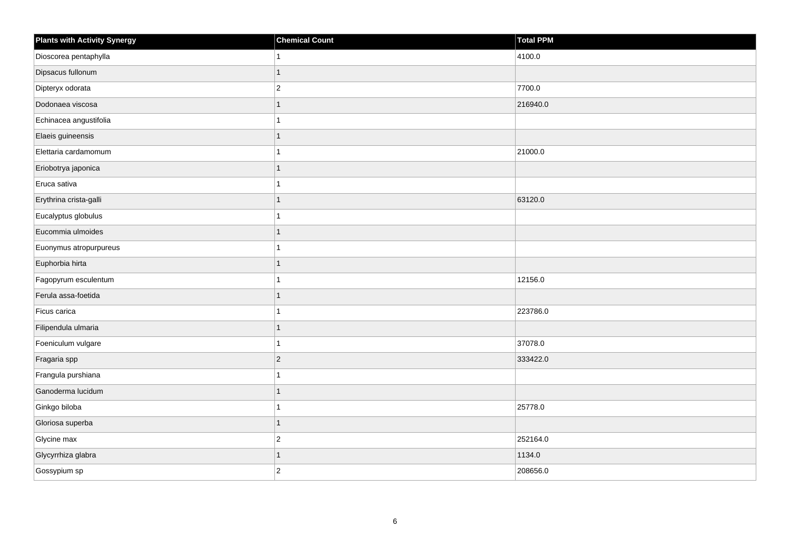| <b>Plants with Activity Synergy</b> | <b>Chemical Count</b> | <b>Total PPM</b> |
|-------------------------------------|-----------------------|------------------|
| Dioscorea pentaphylla               | 1                     | 4100.0           |
| Dipsacus fullonum                   | 1                     |                  |
| Dipteryx odorata                    | $\overline{c}$        | 7700.0           |
| Dodonaea viscosa                    | $\mathbf{1}$          | 216940.0         |
| Echinacea angustifolia              |                       |                  |
| Elaeis guineensis                   | 1                     |                  |
| Elettaria cardamomum                | 1                     | 21000.0          |
| Eriobotrya japonica                 | 1                     |                  |
| Eruca sativa                        | 1                     |                  |
| Erythrina crista-galli              | $\mathbf{1}$          | 63120.0          |
| Eucalyptus globulus                 | 1                     |                  |
| Eucommia ulmoides                   | $\overline{1}$        |                  |
| Euonymus atropurpureus              | 1                     |                  |
| Euphorbia hirta                     | $\overline{1}$        |                  |
| Fagopyrum esculentum                | 1                     | 12156.0          |
| Ferula assa-foetida                 | $\overline{1}$        |                  |
| Ficus carica                        |                       | 223786.0         |
| Filipendula ulmaria                 | $\overline{1}$        |                  |
| Foeniculum vulgare                  | 1                     | 37078.0          |
| Fragaria spp                        | $\overline{c}$        | 333422.0         |
| Frangula purshiana                  | 1                     |                  |
| Ganoderma lucidum                   | $\overline{1}$        |                  |
| Ginkgo biloba                       | 1                     | 25778.0          |
| Gloriosa superba                    | $\overline{1}$        |                  |
| Glycine max                         | $\overline{c}$        | 252164.0         |
| Glycyrrhiza glabra                  | $\overline{1}$        | 1134.0           |
| Gossypium sp                        | $\overline{2}$        | 208656.0         |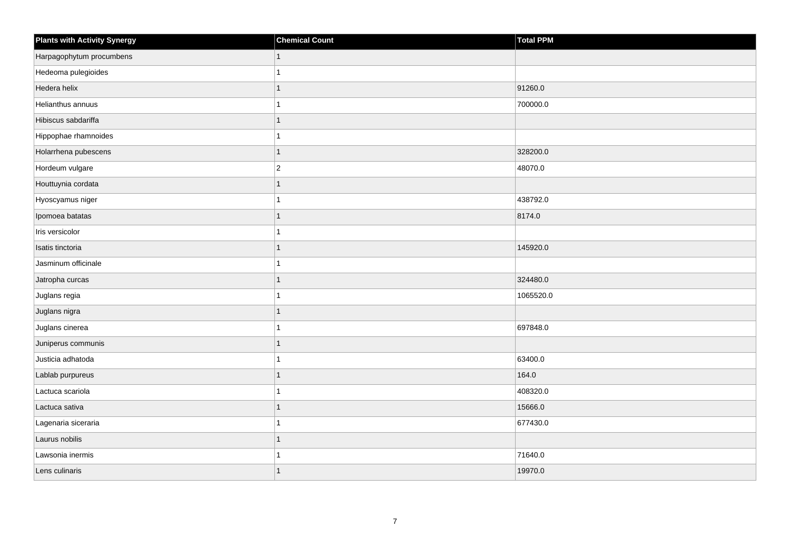| <b>Plants with Activity Synergy</b> | <b>Chemical Count</b> | Total PPM |
|-------------------------------------|-----------------------|-----------|
| Harpagophytum procumbens            | 1                     |           |
| Hedeoma pulegioides                 |                       |           |
| Hedera helix                        | 1                     | 91260.0   |
| Helianthus annuus                   |                       | 700000.0  |
| Hibiscus sabdariffa                 | 1                     |           |
| Hippophae rhamnoides                |                       |           |
| Holarrhena pubescens                | $\mathbf{1}$          | 328200.0  |
| Hordeum vulgare                     | $\overline{2}$        | 48070.0   |
| Houttuynia cordata                  | $\mathbf{1}$          |           |
| Hyoscyamus niger                    |                       | 438792.0  |
| Ipomoea batatas                     | 1                     | 8174.0    |
| Iris versicolor                     | 1                     |           |
| Isatis tinctoria                    | 1                     | 145920.0  |
| Jasminum officinale                 |                       |           |
| Jatropha curcas                     | $\mathbf{1}$          | 324480.0  |
| Juglans regia                       |                       | 1065520.0 |
| Juglans nigra                       |                       |           |
| Juglans cinerea                     | 1                     | 697848.0  |
| Juniperus communis                  | $\mathbf{1}$          |           |
| Justicia adhatoda                   |                       | 63400.0   |
| Lablab purpureus                    |                       | 164.0     |
| Lactuca scariola                    |                       | 408320.0  |
| Lactuca sativa                      |                       | 15666.0   |
| Lagenaria siceraria                 |                       | 677430.0  |
| Laurus nobilis                      | $\mathbf{1}$          |           |
| Lawsonia inermis                    |                       | 71640.0   |
| Lens culinaris                      |                       | 19970.0   |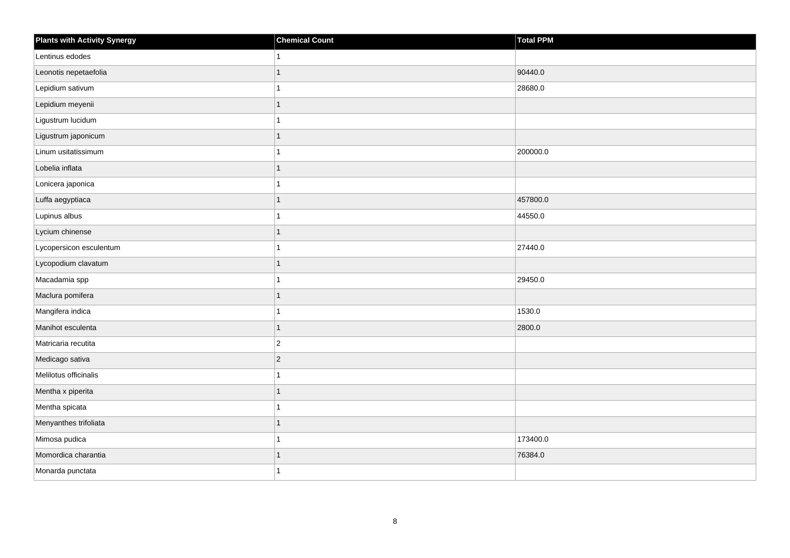| <b>Plants with Activity Synergy</b> | <b>Chemical Count</b> | Total PPM |
|-------------------------------------|-----------------------|-----------|
| Lentinus edodes                     |                       |           |
| Leonotis nepetaefolia               |                       | 90440.0   |
| Lepidium sativum                    |                       | 28680.0   |
| Lepidium meyenii                    | 1                     |           |
| Ligustrum lucidum                   |                       |           |
| Ligustrum japonicum                 |                       |           |
| Linum usitatissimum                 |                       | 200000.0  |
| Lobelia inflata                     | 1                     |           |
| Lonicera japonica                   |                       |           |
| Luffa aegyptiaca                    | 1                     | 457800.0  |
| Lupinus albus                       |                       | 44550.0   |
| Lycium chinense                     |                       |           |
| Lycopersicon esculentum             |                       | 27440.0   |
| Lycopodium clavatum                 |                       |           |
| Macadamia spp                       |                       | 29450.0   |
| Maclura pomifera                    |                       |           |
| Mangifera indica                    |                       | 1530.0    |
| Manihot esculenta                   | 1                     | 2800.0    |
| Matricaria recutita                 | $\overline{2}$        |           |
| Medicago sativa                     | $\overline{2}$        |           |
| Melilotus officinalis               |                       |           |
| Mentha x piperita                   |                       |           |
| Mentha spicata                      |                       |           |
| Menyanthes trifoliata               |                       |           |
| Mimosa pudica                       |                       | 173400.0  |
| Momordica charantia                 | 1                     | 76384.0   |
| Monarda punctata                    |                       |           |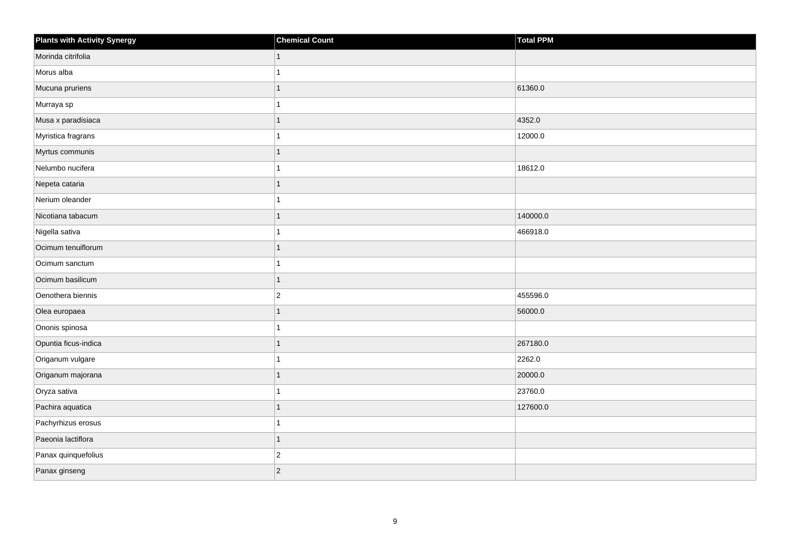| <b>Plants with Activity Synergy</b> | <b>Chemical Count</b> | <b>Total PPM</b> |
|-------------------------------------|-----------------------|------------------|
| Morinda citrifolia                  | $\mathbf{1}$          |                  |
| Morus alba                          |                       |                  |
| Mucuna pruriens                     |                       | 61360.0          |
| Murraya sp                          |                       |                  |
| Musa x paradisiaca                  |                       | 4352.0           |
| Myristica fragrans                  |                       | 12000.0          |
| Myrtus communis                     | $\mathbf{1}$          |                  |
| Nelumbo nucifera                    |                       | 18612.0          |
| Nepeta cataria                      |                       |                  |
| Nerium oleander                     |                       |                  |
| Nicotiana tabacum                   |                       | 140000.0         |
| Nigella sativa                      |                       | 466918.0         |
| Ocimum tenuiflorum                  | $\mathbf{1}$          |                  |
| Ocimum sanctum                      |                       |                  |
| Ocimum basilicum                    | 1                     |                  |
| Oenothera biennis                   | $\overline{2}$        | 455596.0         |
| Olea europaea                       |                       | 56000.0          |
| Ononis spinosa                      |                       |                  |
| Opuntia ficus-indica                | $\mathbf{1}$          | 267180.0         |
| Origanum vulgare                    |                       | 2262.0           |
| Origanum majorana                   |                       | 20000.0          |
| Oryza sativa                        |                       | 23760.0          |
| Pachira aquatica                    |                       | 127600.0         |
| Pachyrhizus erosus                  |                       |                  |
| Paeonia lactiflora                  | $\mathbf{1}$          |                  |
| Panax quinquefolius                 | $\overline{2}$        |                  |
| Panax ginseng                       | $ 2\rangle$           |                  |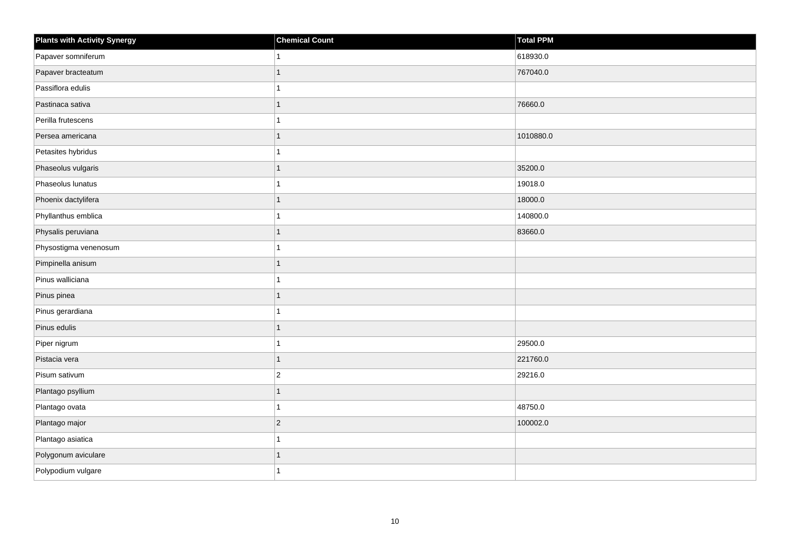| <b>Plants with Activity Synergy</b> | <b>Chemical Count</b> | Total PPM |
|-------------------------------------|-----------------------|-----------|
| Papaver somniferum                  |                       | 618930.0  |
| Papaver bracteatum                  | 1                     | 767040.0  |
| Passiflora edulis                   | 1                     |           |
| Pastinaca sativa                    | $\overline{1}$        | 76660.0   |
| Perilla frutescens                  | 1                     |           |
| Persea americana                    | 1                     | 1010880.0 |
| Petasites hybridus                  | 1                     |           |
| Phaseolus vulgaris                  | $\overline{1}$        | 35200.0   |
| Phaseolus lunatus                   | 1                     | 19018.0   |
| Phoenix dactylifera                 | $\overline{1}$        | 18000.0   |
| Phyllanthus emblica                 | 1                     | 140800.0  |
| Physalis peruviana                  | 1                     | 83660.0   |
| Physostigma venenosum               | 1                     |           |
| Pimpinella anisum                   | $\overline{1}$        |           |
| Pinus walliciana                    | 1                     |           |
| Pinus pinea                         | $\overline{1}$        |           |
| Pinus gerardiana                    |                       |           |
| Pinus edulis                        | 1                     |           |
| Piper nigrum                        | 1                     | 29500.0   |
| Pistacia vera                       | $\overline{1}$        | 221760.0  |
| Pisum sativum                       | $\overline{c}$        | 29216.0   |
| Plantago psyllium                   | $\overline{1}$        |           |
| Plantago ovata                      | 1                     | 48750.0   |
| Plantago major                      | $\overline{c}$        | 100002.0  |
| Plantago asiatica                   | 1                     |           |
| Polygonum aviculare                 | 1                     |           |
| Polypodium vulgare                  | 1                     |           |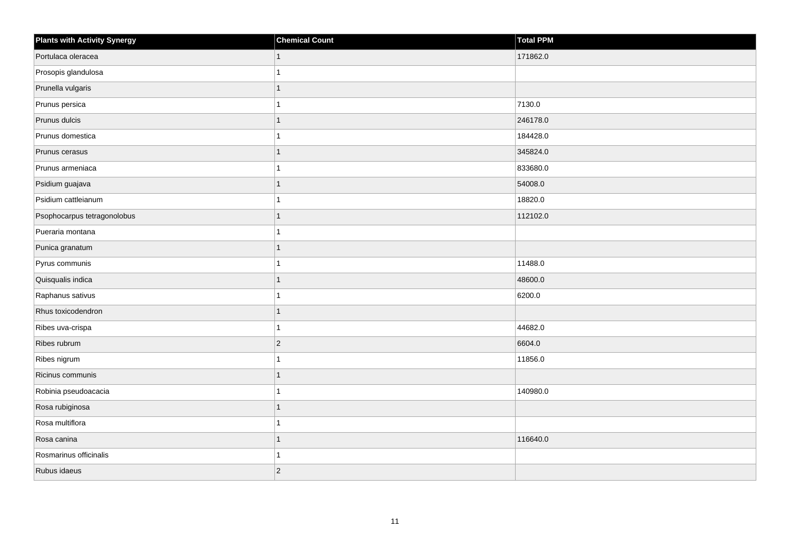| <b>Plants with Activity Synergy</b> | <b>Chemical Count</b> | Total PPM |
|-------------------------------------|-----------------------|-----------|
| Portulaca oleracea                  |                       | 171862.0  |
| Prosopis glandulosa                 |                       |           |
| Prunella vulgaris                   |                       |           |
| Prunus persica                      |                       | 7130.0    |
| Prunus dulcis                       |                       | 246178.0  |
| Prunus domestica                    |                       | 184428.0  |
| Prunus cerasus                      |                       | 345824.0  |
| Prunus armeniaca                    |                       | 833680.0  |
| Psidium guajava                     |                       | 54008.0   |
| Psidium cattleianum                 |                       | 18820.0   |
| Psophocarpus tetragonolobus         | 1                     | 112102.0  |
| Pueraria montana                    |                       |           |
| Punica granatum                     | 1                     |           |
| Pyrus communis                      |                       | 11488.0   |
| Quisqualis indica                   |                       | 48600.0   |
| Raphanus sativus                    |                       | 6200.0    |
| Rhus toxicodendron                  |                       |           |
| Ribes uva-crispa                    |                       | 44682.0   |
| Ribes rubrum                        | $\overline{2}$        | 6604.0    |
| Ribes nigrum                        |                       | 11856.0   |
| Ricinus communis                    |                       |           |
| Robinia pseudoacacia                |                       | 140980.0  |
| Rosa rubiginosa                     |                       |           |
| Rosa multiflora                     |                       |           |
| Rosa canina                         | 1                     | 116640.0  |
| Rosmarinus officinalis              |                       |           |
| Rubus idaeus                        | $\overline{2}$        |           |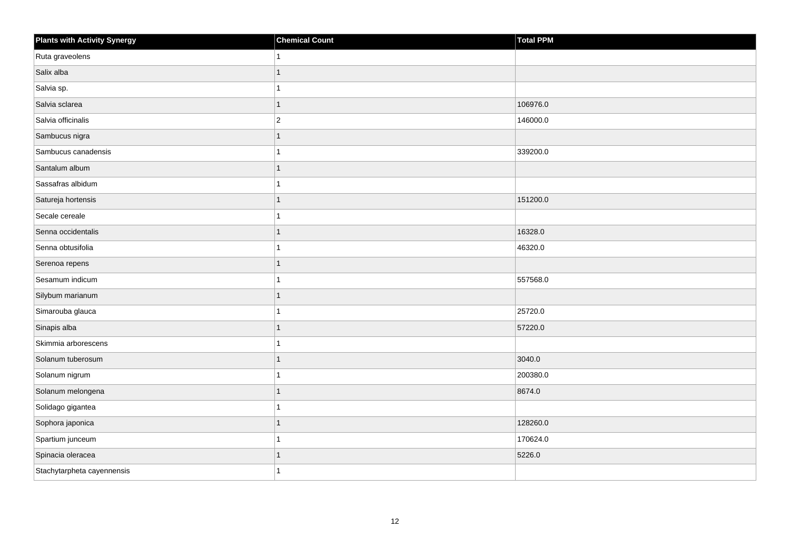| <b>Plants with Activity Synergy</b> | <b>Chemical Count</b> | <b>Total PPM</b> |
|-------------------------------------|-----------------------|------------------|
| Ruta graveolens                     | 1                     |                  |
| Salix alba                          |                       |                  |
| Salvia sp.                          |                       |                  |
| Salvia sclarea                      | $\mathbf{1}$          | 106976.0         |
| Salvia officinalis                  | $\overline{c}$        | 146000.0         |
| Sambucus nigra                      |                       |                  |
| Sambucus canadensis                 |                       | 339200.0         |
| Santalum album                      | 1                     |                  |
| Sassafras albidum                   |                       |                  |
| Satureja hortensis                  | 1                     | 151200.0         |
| Secale cereale                      |                       |                  |
| Senna occidentalis                  |                       | 16328.0          |
| Senna obtusifolia                   | 1                     | 46320.0          |
| Serenoa repens                      | $\mathbf{1}$          |                  |
| Sesamum indicum                     |                       | 557568.0         |
| Silybum marianum                    | 1                     |                  |
| Simarouba glauca                    |                       | 25720.0          |
| Sinapis alba                        |                       | 57220.0          |
| Skimmia arborescens                 | 1                     |                  |
| Solanum tuberosum                   |                       | 3040.0           |
| Solanum nigrum                      |                       | 200380.0         |
| Solanum melongena                   |                       | 8674.0           |
| Solidago gigantea                   |                       |                  |
| Sophora japonica                    |                       | 128260.0         |
| Spartium junceum                    | 1                     | 170624.0         |
| Spinacia oleracea                   |                       | 5226.0           |
| Stachytarpheta cayennensis          |                       |                  |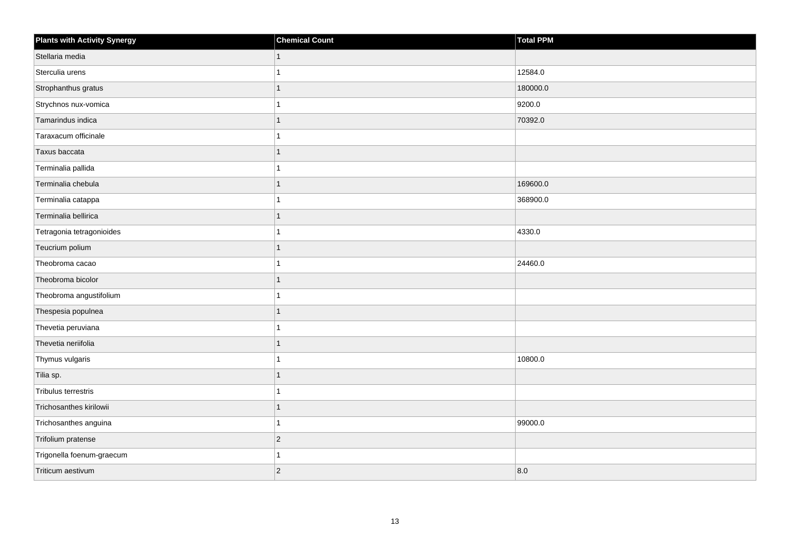| <b>Plants with Activity Synergy</b> | <b>Chemical Count</b> | <b>Total PPM</b> |
|-------------------------------------|-----------------------|------------------|
| Stellaria media                     | $\mathbf{1}$          |                  |
| Sterculia urens                     | 1                     | 12584.0          |
| Strophanthus gratus                 | $\mathbf{1}$          | 180000.0         |
| Strychnos nux-vomica                | $\mathbf{1}$          | 9200.0           |
| Tamarindus indica                   | $\overline{1}$        | 70392.0          |
| Taraxacum officinale                | $\mathbf{1}$          |                  |
| Taxus baccata                       | $\mathbf{1}$          |                  |
| Terminalia pallida                  | $\overline{1}$        |                  |
| Terminalia chebula                  | $\overline{1}$        | 169600.0         |
| Terminalia catappa                  | $\mathbf{1}$          | 368900.0         |
| Terminalia bellirica                | $\overline{1}$        |                  |
| Tetragonia tetragonioides           | $\mathbf{1}$          | 4330.0           |
| Teucrium polium                     | $\mathbf{1}$          |                  |
| Theobroma cacao                     | $\overline{1}$        | 24460.0          |
| Theobroma bicolor                   | $\overline{1}$        |                  |
| Theobroma angustifolium             | $\mathbf{1}$          |                  |
| Thespesia populnea                  | $\overline{1}$        |                  |
| Thevetia peruviana                  | $\mathbf{1}$          |                  |
| Thevetia neriifolia                 | $\mathbf{1}$          |                  |
| Thymus vulgaris                     | $\mathbf{1}$          | 10800.0          |
| Tilia sp.                           | $\mathbf{1}$          |                  |
| Tribulus terrestris                 | $\mathbf{1}$          |                  |
| Trichosanthes kirilowii             | $\overline{1}$        |                  |
| Trichosanthes anguina               | $\mathbf{1}$          | 99000.0          |
| Trifolium pratense                  | $\vert$ 2             |                  |
| Trigonella foenum-graecum           | $\mathbf{1}$          |                  |
| Triticum aestivum                   | $\overline{c}$        | 8.0              |